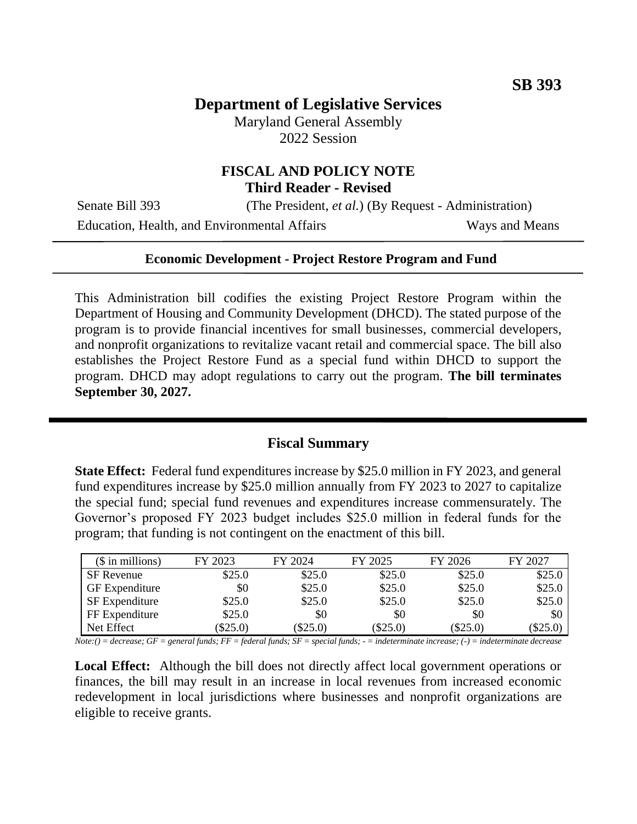# **Department of Legislative Services**

Maryland General Assembly 2022 Session

### **FISCAL AND POLICY NOTE Third Reader - Revised**

Senate Bill 393 (The President, *et al.*) (By Request - Administration)

Education, Health, and Environmental Affairs Ways and Means

#### **Economic Development - Project Restore Program and Fund**

This Administration bill codifies the existing Project Restore Program within the Department of Housing and Community Development (DHCD). The stated purpose of the program is to provide financial incentives for small businesses, commercial developers, and nonprofit organizations to revitalize vacant retail and commercial space. The bill also establishes the Project Restore Fund as a special fund within DHCD to support the program. DHCD may adopt regulations to carry out the program. **The bill terminates September 30, 2027.**

### **Fiscal Summary**

**State Effect:** Federal fund expenditures increase by \$25.0 million in FY 2023, and general fund expenditures increase by \$25.0 million annually from FY 2023 to 2027 to capitalize the special fund; special fund revenues and expenditures increase commensurately. The Governor's proposed FY 2023 budget includes \$25.0 million in federal funds for the program; that funding is not contingent on the enactment of this bill.

| $($$ in millions)     | FY 2023 | FY 2024    | FY 2025    | FY 2026    | FY 2027    |
|-----------------------|---------|------------|------------|------------|------------|
| SF Revenue            | \$25.0  | \$25.0     | \$25.0     | \$25.0     | \$25.0     |
| <b>GF</b> Expenditure | \$0     | \$25.0     | \$25.0     | \$25.0     | \$25.0     |
| <b>SF</b> Expenditure | \$25.0  | \$25.0     | \$25.0     | \$25.0     | \$25.0     |
| FF Expenditure        | \$25.0  | \$0        | \$0        | \$0        | \$0        |
| Net Effect            | \$25.0  | $(\$25.0)$ | $(\$25.0)$ | $(\$25.0)$ | $(\$25.0)$ |

*Note:() = decrease; GF = general funds; FF = federal funds; SF = special funds; - = indeterminate increase; (-) = indeterminate decrease*

**Local Effect:** Although the bill does not directly affect local government operations or finances, the bill may result in an increase in local revenues from increased economic redevelopment in local jurisdictions where businesses and nonprofit organizations are eligible to receive grants.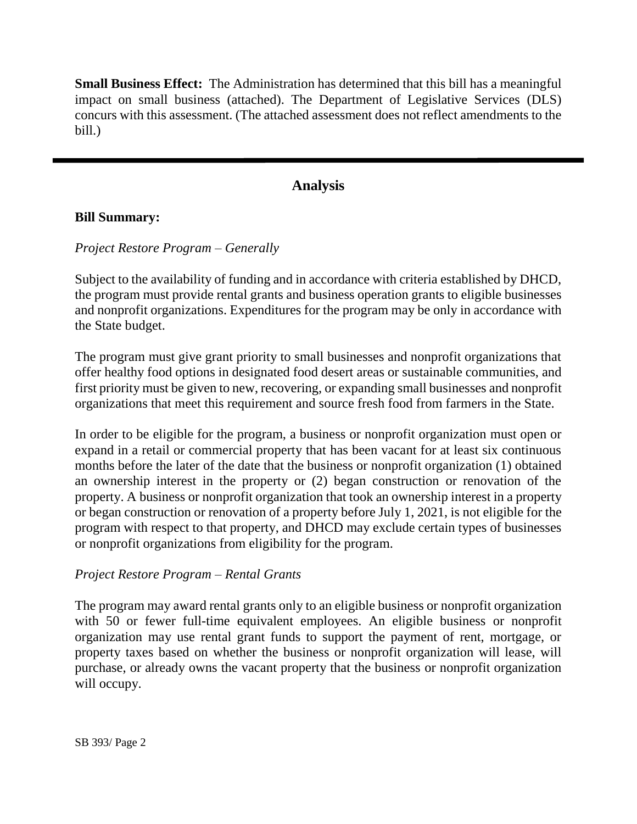**Small Business Effect:** The Administration has determined that this bill has a meaningful impact on small business (attached). The Department of Legislative Services (DLS) concurs with this assessment. (The attached assessment does not reflect amendments to the bill.)

# **Analysis**

### **Bill Summary:**

### *Project Restore Program – Generally*

Subject to the availability of funding and in accordance with criteria established by DHCD, the program must provide rental grants and business operation grants to eligible businesses and nonprofit organizations. Expenditures for the program may be only in accordance with the State budget.

The program must give grant priority to small businesses and nonprofit organizations that offer healthy food options in designated food desert areas or sustainable communities, and first priority must be given to new, recovering, or expanding small businesses and nonprofit organizations that meet this requirement and source fresh food from farmers in the State.

In order to be eligible for the program, a business or nonprofit organization must open or expand in a retail or commercial property that has been vacant for at least six continuous months before the later of the date that the business or nonprofit organization (1) obtained an ownership interest in the property or (2) began construction or renovation of the property. A business or nonprofit organization that took an ownership interest in a property or began construction or renovation of a property before July 1, 2021, is not eligible for the program with respect to that property, and DHCD may exclude certain types of businesses or nonprofit organizations from eligibility for the program.

#### *Project Restore Program – Rental Grants*

The program may award rental grants only to an eligible business or nonprofit organization with 50 or fewer full-time equivalent employees. An eligible business or nonprofit organization may use rental grant funds to support the payment of rent, mortgage, or property taxes based on whether the business or nonprofit organization will lease, will purchase, or already owns the vacant property that the business or nonprofit organization will occupy.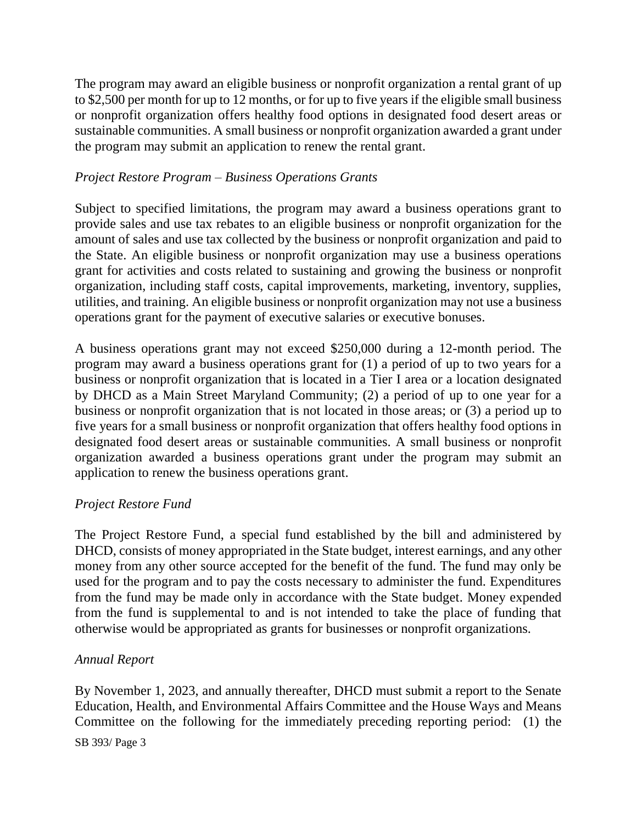The program may award an eligible business or nonprofit organization a rental grant of up to \$2,500 per month for up to 12 months, or for up to five years if the eligible small business or nonprofit organization offers healthy food options in designated food desert areas or sustainable communities. A small business or nonprofit organization awarded a grant under the program may submit an application to renew the rental grant.

# *Project Restore Program – Business Operations Grants*

Subject to specified limitations, the program may award a business operations grant to provide sales and use tax rebates to an eligible business or nonprofit organization for the amount of sales and use tax collected by the business or nonprofit organization and paid to the State. An eligible business or nonprofit organization may use a business operations grant for activities and costs related to sustaining and growing the business or nonprofit organization, including staff costs, capital improvements, marketing, inventory, supplies, utilities, and training. An eligible business or nonprofit organization may not use a business operations grant for the payment of executive salaries or executive bonuses.

A business operations grant may not exceed \$250,000 during a 12-month period. The program may award a business operations grant for (1) a period of up to two years for a business or nonprofit organization that is located in a Tier I area or a location designated by DHCD as a Main Street Maryland Community; (2) a period of up to one year for a business or nonprofit organization that is not located in those areas; or (3) a period up to five years for a small business or nonprofit organization that offers healthy food options in designated food desert areas or sustainable communities. A small business or nonprofit organization awarded a business operations grant under the program may submit an application to renew the business operations grant.

#### *Project Restore Fund*

The Project Restore Fund, a special fund established by the bill and administered by DHCD, consists of money appropriated in the State budget, interest earnings, and any other money from any other source accepted for the benefit of the fund. The fund may only be used for the program and to pay the costs necessary to administer the fund. Expenditures from the fund may be made only in accordance with the State budget. Money expended from the fund is supplemental to and is not intended to take the place of funding that otherwise would be appropriated as grants for businesses or nonprofit organizations.

#### *Annual Report*

By November 1, 2023, and annually thereafter, DHCD must submit a report to the Senate Education, Health, and Environmental Affairs Committee and the House Ways and Means Committee on the following for the immediately preceding reporting period: (1) the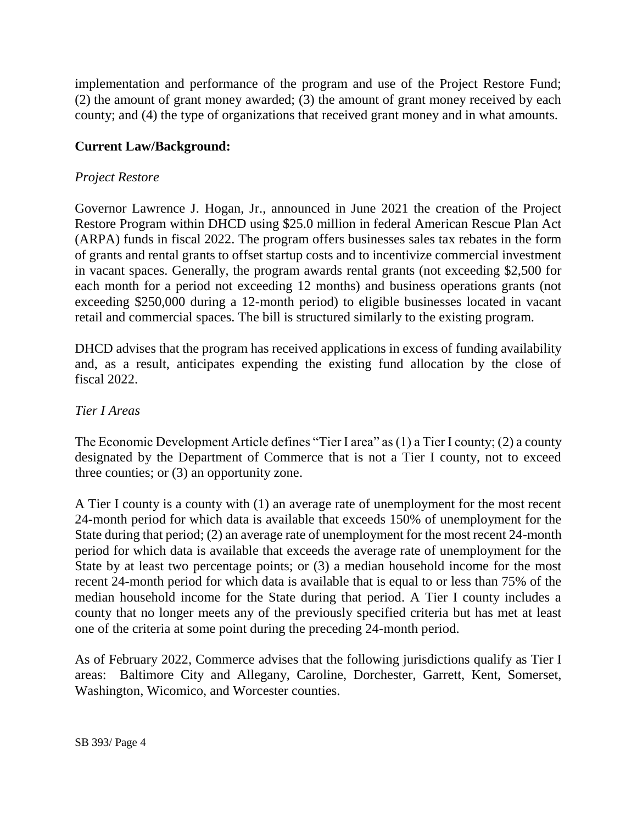implementation and performance of the program and use of the Project Restore Fund; (2) the amount of grant money awarded; (3) the amount of grant money received by each county; and (4) the type of organizations that received grant money and in what amounts.

# **Current Law/Background:**

# *Project Restore*

Governor Lawrence J. Hogan, Jr., announced in June 2021 the creation of the Project Restore Program within DHCD using \$25.0 million in federal American Rescue Plan Act (ARPA) funds in fiscal 2022. The program offers businesses sales tax rebates in the form of grants and rental grants to offset startup costs and to incentivize commercial investment in vacant spaces. Generally, the program awards rental grants (not exceeding \$2,500 for each month for a period not exceeding 12 months) and business operations grants (not exceeding \$250,000 during a 12-month period) to eligible businesses located in vacant retail and commercial spaces. The bill is structured similarly to the existing program.

DHCD advises that the program has received applications in excess of funding availability and, as a result, anticipates expending the existing fund allocation by the close of fiscal 2022.

### *Tier I Areas*

The Economic Development Article defines "Tier I area" as (1) a Tier I county; (2) a county designated by the Department of Commerce that is not a Tier I county, not to exceed three counties; or (3) an opportunity zone.

A Tier I county is a county with (1) an average rate of unemployment for the most recent 24-month period for which data is available that exceeds 150% of unemployment for the State during that period; (2) an average rate of unemployment for the most recent 24-month period for which data is available that exceeds the average rate of unemployment for the State by at least two percentage points; or (3) a median household income for the most recent 24-month period for which data is available that is equal to or less than 75% of the median household income for the State during that period. A Tier I county includes a county that no longer meets any of the previously specified criteria but has met at least one of the criteria at some point during the preceding 24-month period.

As of February 2022, Commerce advises that the following jurisdictions qualify as Tier I areas: Baltimore City and Allegany, Caroline, Dorchester, Garrett, Kent, Somerset, Washington, Wicomico, and Worcester counties.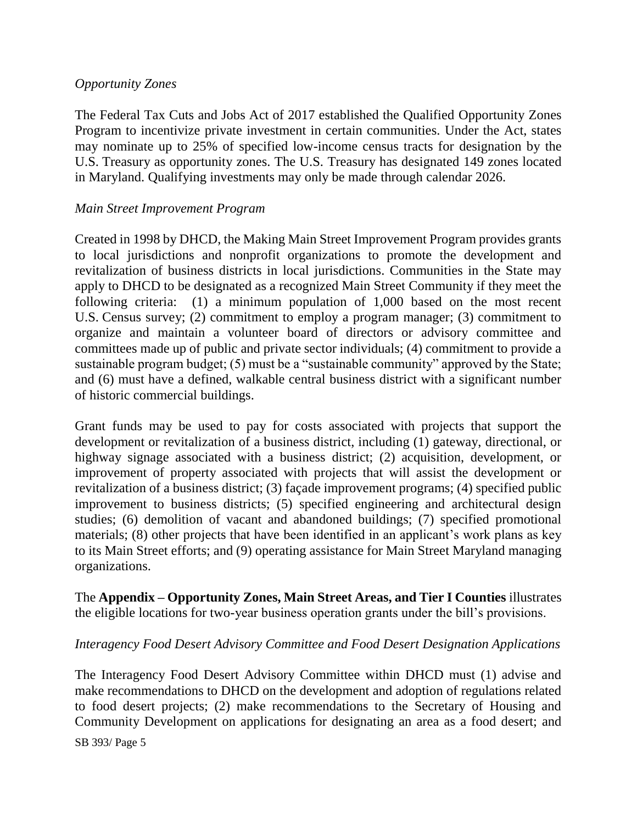# *Opportunity Zones*

The Federal Tax Cuts and Jobs Act of 2017 established the Qualified Opportunity Zones Program to incentivize private investment in certain communities. Under the Act, states may nominate up to 25% of specified low-income census tracts for designation by the U.S. Treasury as opportunity zones. The U.S. Treasury has designated 149 zones located in Maryland. Qualifying investments may only be made through calendar 2026.

# *Main Street Improvement Program*

Created in 1998 by DHCD, the Making Main Street Improvement Program provides grants to local jurisdictions and nonprofit organizations to promote the development and revitalization of business districts in local jurisdictions. Communities in the State may apply to DHCD to be designated as a recognized Main Street Community if they meet the following criteria: (1) a minimum population of 1,000 based on the most recent U.S. Census survey; (2) commitment to employ a program manager; (3) commitment to organize and maintain a volunteer board of directors or advisory committee and committees made up of public and private sector individuals; (4) commitment to provide a sustainable program budget; (5) must be a "sustainable community" approved by the State; and (6) must have a defined, walkable central business district with a significant number of historic commercial buildings.

Grant funds may be used to pay for costs associated with projects that support the development or revitalization of a business district, including (1) gateway, directional, or highway signage associated with a business district; (2) acquisition, development, or improvement of property associated with projects that will assist the development or revitalization of a business district; (3) façade improvement programs; (4) specified public improvement to business districts; (5) specified engineering and architectural design studies; (6) demolition of vacant and abandoned buildings; (7) specified promotional materials; (8) other projects that have been identified in an applicant's work plans as key to its Main Street efforts; and (9) operating assistance for Main Street Maryland managing organizations.

The **Appendix – Opportunity Zones, Main Street Areas, and Tier I Counties** illustrates the eligible locations for two-year business operation grants under the bill's provisions.

#### *Interagency Food Desert Advisory Committee and Food Desert Designation Applications*

The Interagency Food Desert Advisory Committee within DHCD must (1) advise and make recommendations to DHCD on the development and adoption of regulations related to food desert projects; (2) make recommendations to the Secretary of Housing and Community Development on applications for designating an area as a food desert; and

SB 393/ Page 5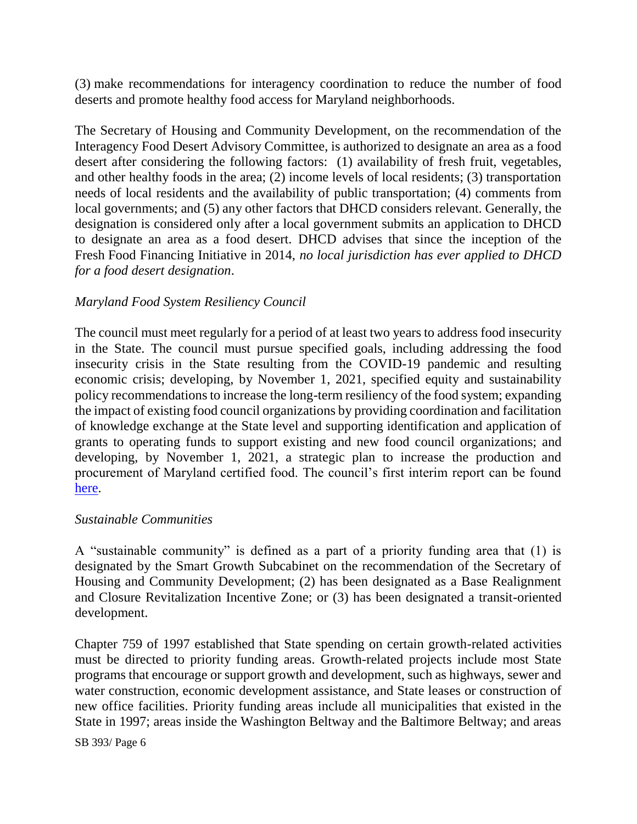(3) make recommendations for interagency coordination to reduce the number of food deserts and promote healthy food access for Maryland neighborhoods.

The Secretary of Housing and Community Development, on the recommendation of the Interagency Food Desert Advisory Committee, is authorized to designate an area as a food desert after considering the following factors: (1) availability of fresh fruit, vegetables, and other healthy foods in the area; (2) income levels of local residents; (3) transportation needs of local residents and the availability of public transportation; (4) comments from local governments; and (5) any other factors that DHCD considers relevant. Generally, the designation is considered only after a local government submits an application to DHCD to designate an area as a food desert. DHCD advises that since the inception of the Fresh Food Financing Initiative in 2014, *no local jurisdiction has ever applied to DHCD for a food desert designation*.

### *Maryland Food System Resiliency Council*

The council must meet regularly for a period of at least two years to address food insecurity in the State. The council must pursue specified goals, including addressing the food insecurity crisis in the State resulting from the COVID-19 pandemic and resulting economic crisis; developing, by November 1, 2021, specified equity and sustainability policy recommendations to increase the long-term resiliency of the food system; expanding the impact of existing food council organizations by providing coordination and facilitation of knowledge exchange at the State level and supporting identification and application of grants to operating funds to support existing and new food council organizations; and developing, by November 1, 2021, a strategic plan to increase the production and procurement of Maryland certified food. The council's first interim report can be found [here.](http://dlslibrary.state.md.us/publications/Exec/MDEM/PS14-1103(c)(1)_2021(rev).pdf)

#### *Sustainable Communities*

A "sustainable community" is defined as a part of a priority funding area that (1) is designated by the Smart Growth Subcabinet on the recommendation of the Secretary of Housing and Community Development; (2) has been designated as a Base Realignment and Closure Revitalization Incentive Zone; or (3) has been designated a transit-oriented development.

Chapter 759 of 1997 established that State spending on certain growth-related activities must be directed to priority funding areas. Growth-related projects include most State programs that encourage or support growth and development, such as highways, sewer and water construction, economic development assistance, and State leases or construction of new office facilities. Priority funding areas include all municipalities that existed in the State in 1997; areas inside the Washington Beltway and the Baltimore Beltway; and areas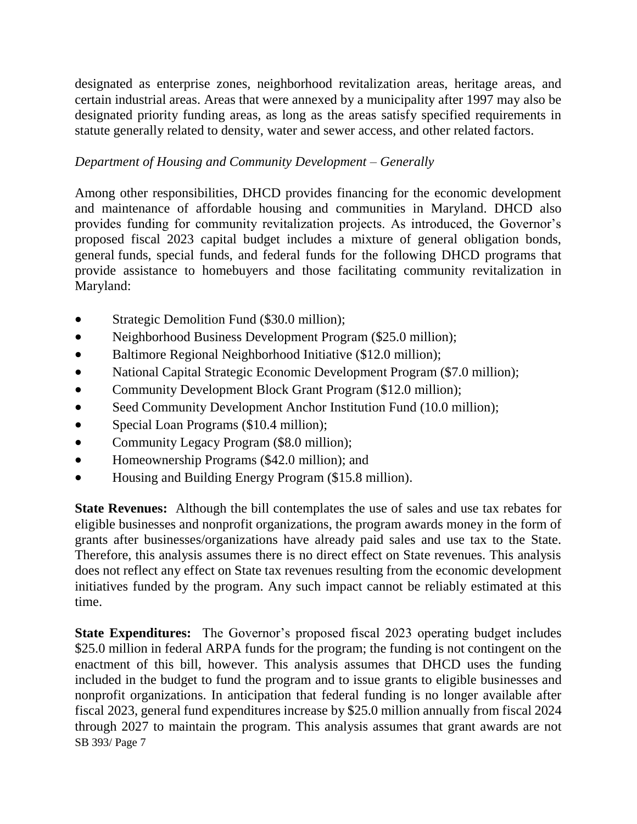designated as enterprise zones, neighborhood revitalization areas, heritage areas, and certain industrial areas. Areas that were annexed by a municipality after 1997 may also be designated priority funding areas, as long as the areas satisfy specified requirements in statute generally related to density, water and sewer access, and other related factors.

# *Department of Housing and Community Development – Generally*

Among other responsibilities, DHCD provides financing for the economic development and maintenance of affordable housing and communities in Maryland. DHCD also provides funding for community revitalization projects. As introduced, the Governor's proposed fiscal 2023 capital budget includes a mixture of general obligation bonds, general funds, special funds, and federal funds for the following DHCD programs that provide assistance to homebuyers and those facilitating community revitalization in Maryland:

- Strategic Demolition Fund (\$30.0 million);
- Neighborhood Business Development Program (\$25.0 million);
- Baltimore Regional Neighborhood Initiative (\$12.0 million);
- National Capital Strategic Economic Development Program (\$7.0 million);
- Community Development Block Grant Program (\$12.0 million);
- Seed Community Development Anchor Institution Fund (10.0 million);
- Special Loan Programs (\$10.4 million);
- Community Legacy Program (\$8.0 million);
- Homeownership Programs (\$42.0 million); and
- Housing and Building Energy Program (\$15.8 million).

**State Revenues:** Although the bill contemplates the use of sales and use tax rebates for eligible businesses and nonprofit organizations, the program awards money in the form of grants after businesses/organizations have already paid sales and use tax to the State. Therefore, this analysis assumes there is no direct effect on State revenues. This analysis does not reflect any effect on State tax revenues resulting from the economic development initiatives funded by the program. Any such impact cannot be reliably estimated at this time.

SB 393/ Page 7 **State Expenditures:** The Governor's proposed fiscal 2023 operating budget includes \$25.0 million in federal ARPA funds for the program; the funding is not contingent on the enactment of this bill, however. This analysis assumes that DHCD uses the funding included in the budget to fund the program and to issue grants to eligible businesses and nonprofit organizations. In anticipation that federal funding is no longer available after fiscal 2023, general fund expenditures increase by \$25.0 million annually from fiscal 2024 through 2027 to maintain the program. This analysis assumes that grant awards are not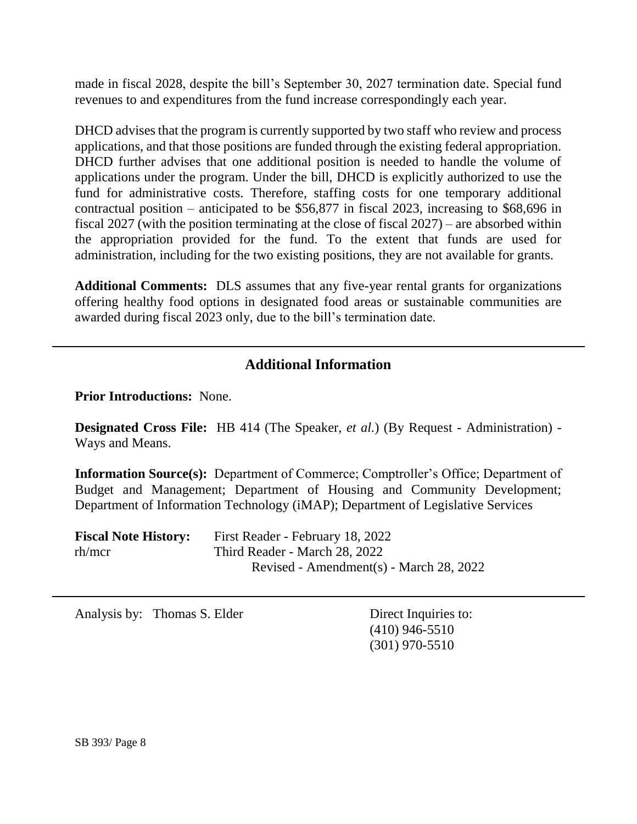made in fiscal 2028, despite the bill's September 30, 2027 termination date. Special fund revenues to and expenditures from the fund increase correspondingly each year.

DHCD advises that the program is currently supported by two staff who review and process applications, and that those positions are funded through the existing federal appropriation. DHCD further advises that one additional position is needed to handle the volume of applications under the program. Under the bill, DHCD is explicitly authorized to use the fund for administrative costs. Therefore, staffing costs for one temporary additional contractual position – anticipated to be \$56,877 in fiscal 2023, increasing to \$68,696 in fiscal 2027 (with the position terminating at the close of fiscal 2027) – are absorbed within the appropriation provided for the fund. To the extent that funds are used for administration, including for the two existing positions, they are not available for grants.

**Additional Comments:** DLS assumes that any five-year rental grants for organizations offering healthy food options in designated food areas or sustainable communities are awarded during fiscal 2023 only, due to the bill's termination date.

# **Additional Information**

**Prior Introductions:** None.

**Designated Cross File:** HB 414 (The Speaker, *et al.*) (By Request - Administration) - Ways and Means.

**Information Source(s):** Department of Commerce; Comptroller's Office; Department of Budget and Management; Department of Housing and Community Development; Department of Information Technology (iMAP); Department of Legislative Services

| <b>Fiscal Note History:</b> | First Reader - February 18, 2022        |
|-----------------------------|-----------------------------------------|
| rh/mcr                      | Third Reader - March 28, 2022           |
|                             | Revised - Amendment(s) - March 28, 2022 |

Analysis by: Thomas S. Elder Direct Inquiries to:

(410) 946-5510 (301) 970-5510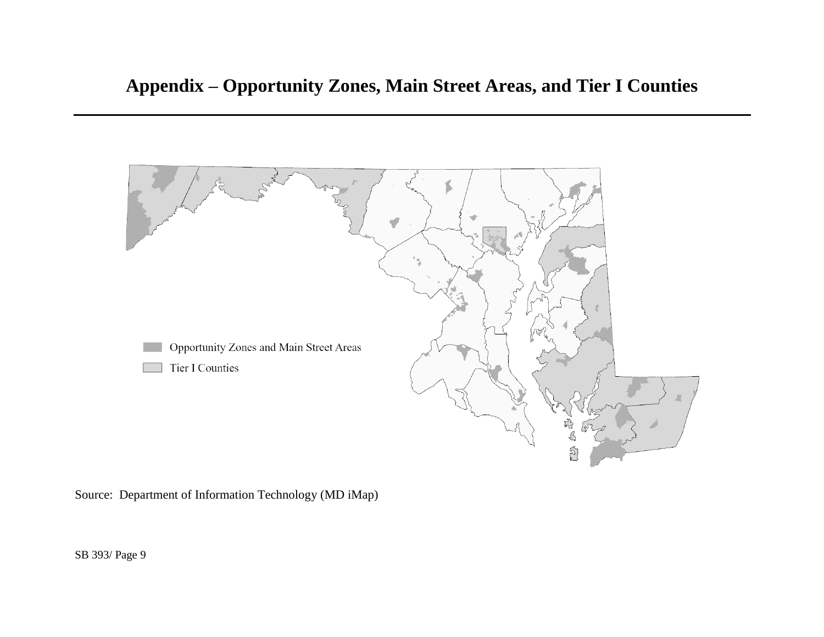

Source: Department of Information Technology (MD iMap)

SB 393/ Page 9